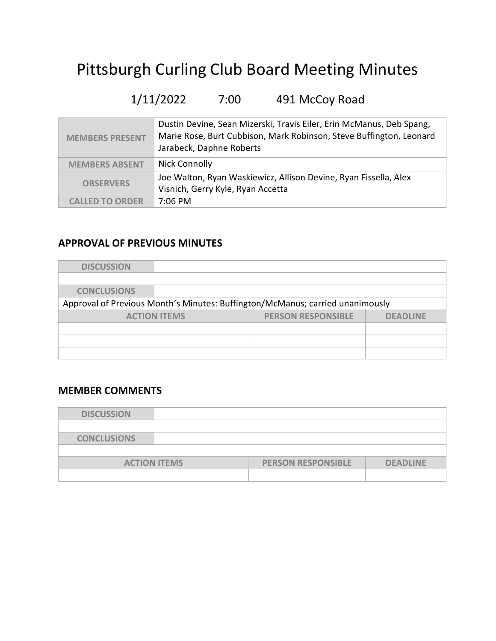# Pittsburgh Curling Club Board Meeting Minutes

# 1/11/2022 7:00 491 McCoy Road

| <b>MEMBERS PRESENT</b> | Dustin Devine, Sean Mizerski, Travis Eiler, Erin McManus, Deb Spang,<br>Marie Rose, Burt Cubbison, Mark Robinson, Steve Buffington, Leonard<br>Jarabeck, Daphne Roberts |
|------------------------|-------------------------------------------------------------------------------------------------------------------------------------------------------------------------|
| <b>MEMBERS ABSENT</b>  | Nick Connolly                                                                                                                                                           |
| <b>OBSERVERS</b>       | Joe Walton, Ryan Waskiewicz, Allison Devine, Ryan Fissella, Alex<br>Visnich, Gerry Kyle, Ryan Accetta                                                                   |
| <b>CALLED TO ORDER</b> | $7:06$ PM                                                                                                                                                               |

## APPROVAL OF PREVIOUS MINUTES

| Approval of Previous Month's Minutes: Buffington/McManus; carried unanimously |  |  |  |  |  |
|-------------------------------------------------------------------------------|--|--|--|--|--|
| <b>PERSON RESPONSIBLE</b><br><b>ACTION ITEMS</b><br><b>DEADLINE</b>           |  |  |  |  |  |
|                                                                               |  |  |  |  |  |
|                                                                               |  |  |  |  |  |
|                                                                               |  |  |  |  |  |
|                                                                               |  |  |  |  |  |

# MEMBER COMMENTS

| <b>DISCUSSION</b>   |                           |                 |
|---------------------|---------------------------|-----------------|
|                     |                           |                 |
| <b>CONCLUSIONS</b>  |                           |                 |
|                     |                           |                 |
| <b>ACTION ITEMS</b> | <b>PERSON RESPONSIBLE</b> | <b>DEADLINE</b> |
|                     |                           |                 |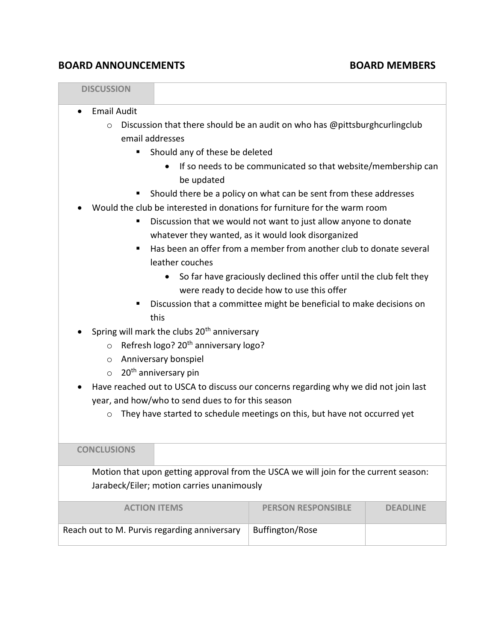# BOARD ANNOUNCEMENTS BOARD MEMBERS

| <b>DISCUSSION</b>                                                                                                      |                                                          |                                                                                      |                 |  |  |  |
|------------------------------------------------------------------------------------------------------------------------|----------------------------------------------------------|--------------------------------------------------------------------------------------|-----------------|--|--|--|
| <b>Email Audit</b><br>$\bullet$                                                                                        |                                                          |                                                                                      |                 |  |  |  |
| $\circ$                                                                                                                |                                                          | Discussion that there should be an audit on who has @pittsburghcurlingclub           |                 |  |  |  |
| email addresses                                                                                                        |                                                          |                                                                                      |                 |  |  |  |
| ٠                                                                                                                      | Should any of these be deleted                           |                                                                                      |                 |  |  |  |
|                                                                                                                        | be updated                                               | If so needs to be communicated so that website/membership can                        |                 |  |  |  |
| ٠                                                                                                                      |                                                          | Should there be a policy on what can be sent from these addresses                    |                 |  |  |  |
|                                                                                                                        |                                                          | Would the club be interested in donations for furniture for the warm room            |                 |  |  |  |
| п                                                                                                                      |                                                          | Discussion that we would not want to just allow anyone to donate                     |                 |  |  |  |
|                                                                                                                        |                                                          | whatever they wanted, as it would look disorganized                                  |                 |  |  |  |
| ٠                                                                                                                      |                                                          | Has been an offer from a member from another club to donate several                  |                 |  |  |  |
|                                                                                                                        | leather couches                                          |                                                                                      |                 |  |  |  |
|                                                                                                                        |                                                          | So far have graciously declined this offer until the club felt they                  |                 |  |  |  |
|                                                                                                                        |                                                          | were ready to decide how to use this offer                                           |                 |  |  |  |
| п                                                                                                                      |                                                          | Discussion that a committee might be beneficial to make decisions on                 |                 |  |  |  |
|                                                                                                                        | this                                                     |                                                                                      |                 |  |  |  |
|                                                                                                                        |                                                          |                                                                                      |                 |  |  |  |
| Spring will mark the clubs 20 <sup>th</sup> anniversary<br>Refresh logo? 20 <sup>th</sup> anniversary logo?<br>$\circ$ |                                                          |                                                                                      |                 |  |  |  |
| $\circ$                                                                                                                |                                                          |                                                                                      |                 |  |  |  |
| $\circ$                                                                                                                | Anniversary bonspiel<br>20 <sup>th</sup> anniversary pin |                                                                                      |                 |  |  |  |
|                                                                                                                        |                                                          | Have reached out to USCA to discuss our concerns regarding why we did not join last  |                 |  |  |  |
|                                                                                                                        | year, and how/who to send dues to for this season        |                                                                                      |                 |  |  |  |
| $\circ$                                                                                                                |                                                          | They have started to schedule meetings on this, but have not occurred yet            |                 |  |  |  |
|                                                                                                                        |                                                          |                                                                                      |                 |  |  |  |
|                                                                                                                        |                                                          |                                                                                      |                 |  |  |  |
| <b>CONCLUSIONS</b>                                                                                                     |                                                          |                                                                                      |                 |  |  |  |
|                                                                                                                        |                                                          | Motion that upon getting approval from the USCA we will join for the current season: |                 |  |  |  |
| Jarabeck/Eiler; motion carries unanimously                                                                             |                                                          |                                                                                      |                 |  |  |  |
| <b>ACTION ITEMS</b>                                                                                                    |                                                          | <b>PERSON RESPONSIBLE</b>                                                            | <b>DEADLINE</b> |  |  |  |
| Reach out to M. Purvis regarding anniversary                                                                           |                                                          | Buffington/Rose                                                                      |                 |  |  |  |
|                                                                                                                        |                                                          |                                                                                      |                 |  |  |  |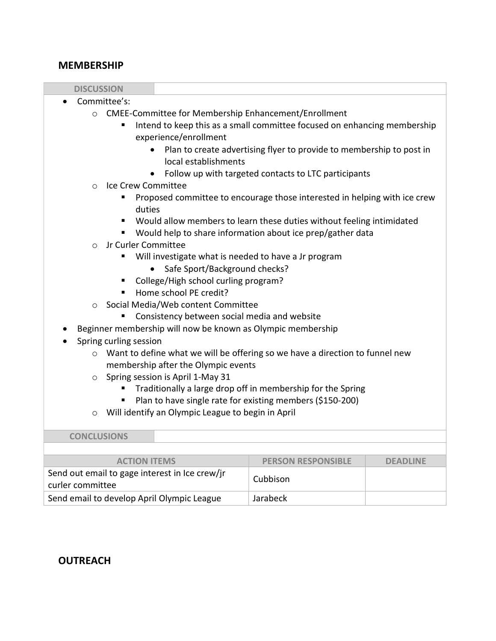### MEMBERSHIP

 $\overline{a}$ 

| Committee's:<br><b>CMEE-Committee for Membership Enhancement/Enrollment</b><br>$\circ$<br>Intend to keep this as a small committee focused on enhancing membership<br>п<br>experience/enrollment<br>Plan to create advertising flyer to provide to membership to post in<br>local establishments<br>Follow up with targeted contacts to LTC participants<br>Ice Crew Committee<br>$\circ$<br>Proposed committee to encourage those interested in helping with ice crew<br>duties<br>Would allow members to learn these duties without feeling intimidated<br>٠<br>Would help to share information about ice prep/gather data<br>Jr Curler Committee<br>$\circ$<br>Will investigate what is needed to have a Jr program<br>Safe Sport/Background checks?<br>College/High school curling program?<br>Home school PE credit?<br>٠<br>○ Social Media/Web content Committee<br>Consistency between social media and website<br>Beginner membership will now be known as Olympic membership<br>Spring curling session<br>Want to define what we will be offering so we have a direction to funnel new<br>membership after the Olympic events<br>Spring session is April 1-May 31<br>$\circ$<br>Traditionally a large drop off in membership for the Spring<br>Plan to have single rate for existing members (\$150-200)<br>Will identify an Olympic League to begin in April<br>$\circ$<br><b>CONCLUSIONS</b><br><b>ACTION ITEMS</b><br><b>PERSON RESPONSIBLE</b><br><b>DEADLINE</b><br>Cubbison |                                                                    |  |  |  |  |  |  |
|--------------------------------------------------------------------------------------------------------------------------------------------------------------------------------------------------------------------------------------------------------------------------------------------------------------------------------------------------------------------------------------------------------------------------------------------------------------------------------------------------------------------------------------------------------------------------------------------------------------------------------------------------------------------------------------------------------------------------------------------------------------------------------------------------------------------------------------------------------------------------------------------------------------------------------------------------------------------------------------------------------------------------------------------------------------------------------------------------------------------------------------------------------------------------------------------------------------------------------------------------------------------------------------------------------------------------------------------------------------------------------------------------------------------------------------------------------------------------------------------|--------------------------------------------------------------------|--|--|--|--|--|--|
|                                                                                                                                                                                                                                                                                                                                                                                                                                                                                                                                                                                                                                                                                                                                                                                                                                                                                                                                                                                                                                                                                                                                                                                                                                                                                                                                                                                                                                                                                            | <b>DISCUSSION</b>                                                  |  |  |  |  |  |  |
|                                                                                                                                                                                                                                                                                                                                                                                                                                                                                                                                                                                                                                                                                                                                                                                                                                                                                                                                                                                                                                                                                                                                                                                                                                                                                                                                                                                                                                                                                            |                                                                    |  |  |  |  |  |  |
|                                                                                                                                                                                                                                                                                                                                                                                                                                                                                                                                                                                                                                                                                                                                                                                                                                                                                                                                                                                                                                                                                                                                                                                                                                                                                                                                                                                                                                                                                            |                                                                    |  |  |  |  |  |  |
|                                                                                                                                                                                                                                                                                                                                                                                                                                                                                                                                                                                                                                                                                                                                                                                                                                                                                                                                                                                                                                                                                                                                                                                                                                                                                                                                                                                                                                                                                            |                                                                    |  |  |  |  |  |  |
|                                                                                                                                                                                                                                                                                                                                                                                                                                                                                                                                                                                                                                                                                                                                                                                                                                                                                                                                                                                                                                                                                                                                                                                                                                                                                                                                                                                                                                                                                            |                                                                    |  |  |  |  |  |  |
|                                                                                                                                                                                                                                                                                                                                                                                                                                                                                                                                                                                                                                                                                                                                                                                                                                                                                                                                                                                                                                                                                                                                                                                                                                                                                                                                                                                                                                                                                            |                                                                    |  |  |  |  |  |  |
|                                                                                                                                                                                                                                                                                                                                                                                                                                                                                                                                                                                                                                                                                                                                                                                                                                                                                                                                                                                                                                                                                                                                                                                                                                                                                                                                                                                                                                                                                            |                                                                    |  |  |  |  |  |  |
|                                                                                                                                                                                                                                                                                                                                                                                                                                                                                                                                                                                                                                                                                                                                                                                                                                                                                                                                                                                                                                                                                                                                                                                                                                                                                                                                                                                                                                                                                            |                                                                    |  |  |  |  |  |  |
|                                                                                                                                                                                                                                                                                                                                                                                                                                                                                                                                                                                                                                                                                                                                                                                                                                                                                                                                                                                                                                                                                                                                                                                                                                                                                                                                                                                                                                                                                            |                                                                    |  |  |  |  |  |  |
|                                                                                                                                                                                                                                                                                                                                                                                                                                                                                                                                                                                                                                                                                                                                                                                                                                                                                                                                                                                                                                                                                                                                                                                                                                                                                                                                                                                                                                                                                            |                                                                    |  |  |  |  |  |  |
|                                                                                                                                                                                                                                                                                                                                                                                                                                                                                                                                                                                                                                                                                                                                                                                                                                                                                                                                                                                                                                                                                                                                                                                                                                                                                                                                                                                                                                                                                            |                                                                    |  |  |  |  |  |  |
|                                                                                                                                                                                                                                                                                                                                                                                                                                                                                                                                                                                                                                                                                                                                                                                                                                                                                                                                                                                                                                                                                                                                                                                                                                                                                                                                                                                                                                                                                            |                                                                    |  |  |  |  |  |  |
|                                                                                                                                                                                                                                                                                                                                                                                                                                                                                                                                                                                                                                                                                                                                                                                                                                                                                                                                                                                                                                                                                                                                                                                                                                                                                                                                                                                                                                                                                            |                                                                    |  |  |  |  |  |  |
|                                                                                                                                                                                                                                                                                                                                                                                                                                                                                                                                                                                                                                                                                                                                                                                                                                                                                                                                                                                                                                                                                                                                                                                                                                                                                                                                                                                                                                                                                            |                                                                    |  |  |  |  |  |  |
|                                                                                                                                                                                                                                                                                                                                                                                                                                                                                                                                                                                                                                                                                                                                                                                                                                                                                                                                                                                                                                                                                                                                                                                                                                                                                                                                                                                                                                                                                            |                                                                    |  |  |  |  |  |  |
|                                                                                                                                                                                                                                                                                                                                                                                                                                                                                                                                                                                                                                                                                                                                                                                                                                                                                                                                                                                                                                                                                                                                                                                                                                                                                                                                                                                                                                                                                            |                                                                    |  |  |  |  |  |  |
|                                                                                                                                                                                                                                                                                                                                                                                                                                                                                                                                                                                                                                                                                                                                                                                                                                                                                                                                                                                                                                                                                                                                                                                                                                                                                                                                                                                                                                                                                            |                                                                    |  |  |  |  |  |  |
|                                                                                                                                                                                                                                                                                                                                                                                                                                                                                                                                                                                                                                                                                                                                                                                                                                                                                                                                                                                                                                                                                                                                                                                                                                                                                                                                                                                                                                                                                            |                                                                    |  |  |  |  |  |  |
|                                                                                                                                                                                                                                                                                                                                                                                                                                                                                                                                                                                                                                                                                                                                                                                                                                                                                                                                                                                                                                                                                                                                                                                                                                                                                                                                                                                                                                                                                            |                                                                    |  |  |  |  |  |  |
|                                                                                                                                                                                                                                                                                                                                                                                                                                                                                                                                                                                                                                                                                                                                                                                                                                                                                                                                                                                                                                                                                                                                                                                                                                                                                                                                                                                                                                                                                            |                                                                    |  |  |  |  |  |  |
|                                                                                                                                                                                                                                                                                                                                                                                                                                                                                                                                                                                                                                                                                                                                                                                                                                                                                                                                                                                                                                                                                                                                                                                                                                                                                                                                                                                                                                                                                            |                                                                    |  |  |  |  |  |  |
|                                                                                                                                                                                                                                                                                                                                                                                                                                                                                                                                                                                                                                                                                                                                                                                                                                                                                                                                                                                                                                                                                                                                                                                                                                                                                                                                                                                                                                                                                            |                                                                    |  |  |  |  |  |  |
|                                                                                                                                                                                                                                                                                                                                                                                                                                                                                                                                                                                                                                                                                                                                                                                                                                                                                                                                                                                                                                                                                                                                                                                                                                                                                                                                                                                                                                                                                            |                                                                    |  |  |  |  |  |  |
|                                                                                                                                                                                                                                                                                                                                                                                                                                                                                                                                                                                                                                                                                                                                                                                                                                                                                                                                                                                                                                                                                                                                                                                                                                                                                                                                                                                                                                                                                            |                                                                    |  |  |  |  |  |  |
|                                                                                                                                                                                                                                                                                                                                                                                                                                                                                                                                                                                                                                                                                                                                                                                                                                                                                                                                                                                                                                                                                                                                                                                                                                                                                                                                                                                                                                                                                            |                                                                    |  |  |  |  |  |  |
|                                                                                                                                                                                                                                                                                                                                                                                                                                                                                                                                                                                                                                                                                                                                                                                                                                                                                                                                                                                                                                                                                                                                                                                                                                                                                                                                                                                                                                                                                            |                                                                    |  |  |  |  |  |  |
|                                                                                                                                                                                                                                                                                                                                                                                                                                                                                                                                                                                                                                                                                                                                                                                                                                                                                                                                                                                                                                                                                                                                                                                                                                                                                                                                                                                                                                                                                            |                                                                    |  |  |  |  |  |  |
|                                                                                                                                                                                                                                                                                                                                                                                                                                                                                                                                                                                                                                                                                                                                                                                                                                                                                                                                                                                                                                                                                                                                                                                                                                                                                                                                                                                                                                                                                            |                                                                    |  |  |  |  |  |  |
|                                                                                                                                                                                                                                                                                                                                                                                                                                                                                                                                                                                                                                                                                                                                                                                                                                                                                                                                                                                                                                                                                                                                                                                                                                                                                                                                                                                                                                                                                            |                                                                    |  |  |  |  |  |  |
|                                                                                                                                                                                                                                                                                                                                                                                                                                                                                                                                                                                                                                                                                                                                                                                                                                                                                                                                                                                                                                                                                                                                                                                                                                                                                                                                                                                                                                                                                            | Send out email to gage interest in Ice crew/jr<br>curler committee |  |  |  |  |  |  |
| Jarabeck                                                                                                                                                                                                                                                                                                                                                                                                                                                                                                                                                                                                                                                                                                                                                                                                                                                                                                                                                                                                                                                                                                                                                                                                                                                                                                                                                                                                                                                                                   | Send email to develop April Olympic League                         |  |  |  |  |  |  |

**OUTREACH**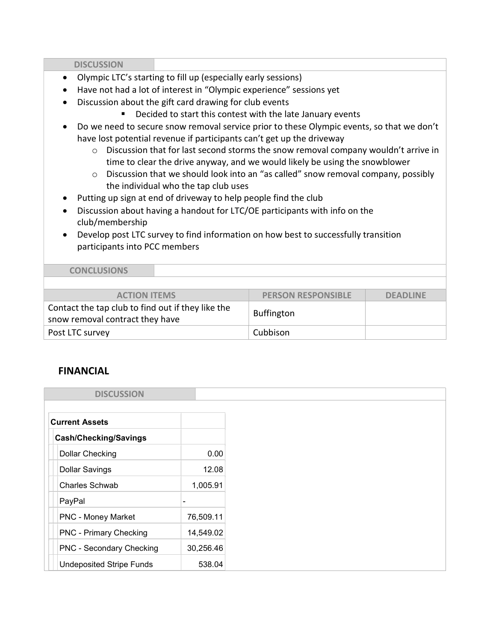**DISCUSSION** 

- Olympic LTC's starting to fill up (especially early sessions)
- Have not had a lot of interest in "Olympic experience" sessions yet
- Discussion about the gift card drawing for club events
	- **•** Decided to start this contest with the late January events
- Do we need to secure snow removal service prior to these Olympic events, so that we don't have lost potential revenue if participants can't get up the driveway
	- o Discussion that for last second storms the snow removal company wouldn't arrive in time to clear the drive anyway, and we would likely be using the snowblower
	- o Discussion that we should look into an "as called" snow removal company, possibly the individual who the tap club uses
- Putting up sign at end of driveway to help people find the club
- Discussion about having a handout for LTC/OE participants with info on the club/membership
- Develop post LTC survey to find information on how best to successfully transition participants into PCC members

| <b>CONCLUSIONS</b>                                                                   |                           |                 |
|--------------------------------------------------------------------------------------|---------------------------|-----------------|
|                                                                                      |                           |                 |
| <b>ACTION ITEMS</b>                                                                  | <b>PERSON RESPONSIBLE</b> | <b>DEADLINE</b> |
| Contact the tap club to find out if they like the<br>snow removal contract they have | <b>Buffington</b>         |                 |
| Post LTC survey                                                                      | Cubbison                  |                 |

### FINANCIAL

| <b>DISCUSSION</b>               |           |
|---------------------------------|-----------|
| <b>Current Assets</b>           |           |
| <b>Cash/Checking/Savings</b>    |           |
| <b>Dollar Checking</b>          | 0.00      |
| <b>Dollar Savings</b>           | 12.08     |
| <b>Charles Schwab</b>           | 1,005.91  |
| PayPal                          |           |
| <b>PNC - Money Market</b>       | 76,509.11 |
| <b>PNC - Primary Checking</b>   | 14,549.02 |
| PNC - Secondary Checking        | 30,256.46 |
| <b>Undeposited Stripe Funds</b> | 538.04    |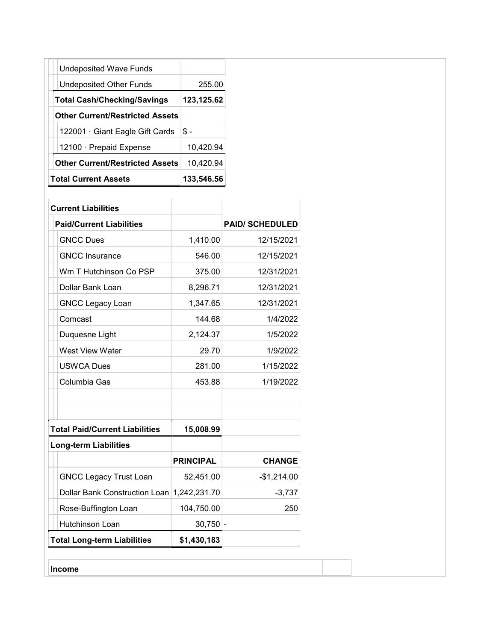| <b>Total Current Assets</b>            | 133,546.56 |
|----------------------------------------|------------|
| <b>Other Current/Restricted Assets</b> | 10,420.94  |
| 12100 · Prepaid Expense                | 10,420.94  |
| 122001 Giant Eagle Gift Cards          | \$ -       |
| <b>Other Current/Restricted Assets</b> |            |
| <b>Total Cash/Checking/Savings</b>     | 123,125.62 |
| <b>Undeposited Other Funds</b>         | 255.00     |
| Undeposited Wave Funds                 |            |

| <b>Current Liabilities</b>      |                                       |                  |                        |
|---------------------------------|---------------------------------------|------------------|------------------------|
| <b>Paid/Current Liabilities</b> |                                       |                  | <b>PAID/ SCHEDULED</b> |
|                                 | <b>GNCC Dues</b>                      | 1,410.00         | 12/15/2021             |
|                                 | <b>GNCC Insurance</b>                 | 546.00           | 12/15/2021             |
|                                 | Wm T Hutchinson Co PSP                | 375.00           | 12/31/2021             |
|                                 | Dollar Bank Loan                      | 8,296.71         | 12/31/2021             |
|                                 | <b>GNCC Legacy Loan</b>               | 1,347.65         | 12/31/2021             |
|                                 | Comcast                               | 144.68           | 1/4/2022               |
|                                 | Duquesne Light                        | 2,124.37         | 1/5/2022               |
|                                 | <b>West View Water</b>                | 29.70            | 1/9/2022               |
|                                 | <b>USWCA Dues</b>                     | 281.00           | 1/15/2022              |
|                                 | Columbia Gas                          | 453.88           | 1/19/2022              |
|                                 |                                       |                  |                        |
|                                 |                                       |                  |                        |
|                                 | <b>Total Paid/Current Liabilities</b> | 15,008.99        |                        |
|                                 | <b>Long-term Liabilities</b>          |                  |                        |
|                                 |                                       | <b>PRINCIPAL</b> | <b>CHANGE</b>          |
|                                 | <b>GNCC Legacy Trust Loan</b>         | 52,451.00        | $-$1,214.00$           |
|                                 | <b>Dollar Bank Construction Loan</b>  | 1,242,231.70     | $-3,737$               |
|                                 | Rose-Buffington Loan                  | 104,750.00       | 250                    |
|                                 | Hutchinson Loan                       | $30,750$ -       |                        |
|                                 | <b>Total Long-term Liabilities</b>    | \$1,430,183      |                        |
|                                 |                                       |                  |                        |

Income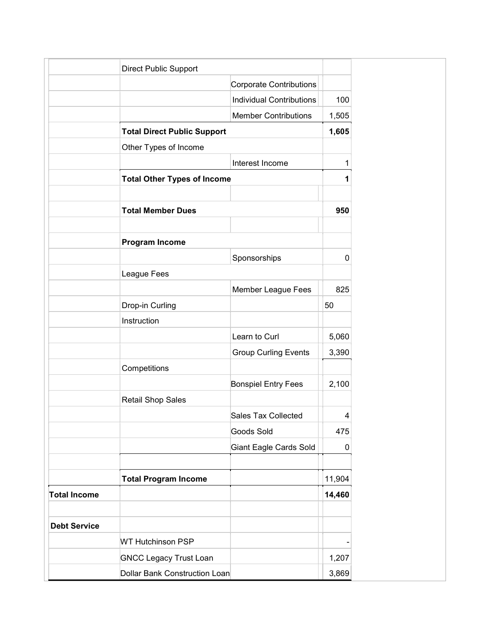| Direct Public Support              |        |
|------------------------------------|--------|
| Corporate Contributions            |        |
| <b>Individual Contributions</b>    | 100    |
| <b>Member Contributions</b>        | 1,505  |
| <b>Total Direct Public Support</b> | 1,605  |
| Other Types of Income              |        |
| Interest Income                    | 1      |
| <b>Total Other Types of Income</b> | 1      |
|                                    |        |
| <b>Total Member Dues</b>           | 950    |
|                                    |        |
| <b>Program Income</b>              |        |
| Sponsorships                       | 0      |
| League Fees                        |        |
| Member League Fees                 | 825    |
| Drop-in Curling                    | 50     |
| Instruction                        |        |
| Learn to Curl                      | 5,060  |
| <b>Group Curling Events</b>        | 3,390  |
| Competitions                       |        |
| <b>Bonspiel Entry Fees</b>         | 2,100  |
| <b>Retail Shop Sales</b>           |        |
| <b>Sales Tax Collected</b>         | 4      |
| Goods Sold                         | 475    |
| Giant Eagle Cards Sold             | 0      |
|                                    |        |
| <b>Total Program Income</b>        | 11,904 |
| <b>Total Income</b>                | 14,460 |
|                                    |        |
| <b>Debt Service</b>                |        |
| <b>WT Hutchinson PSP</b>           |        |
|                                    |        |
| <b>GNCC Legacy Trust Loan</b>      | 1,207  |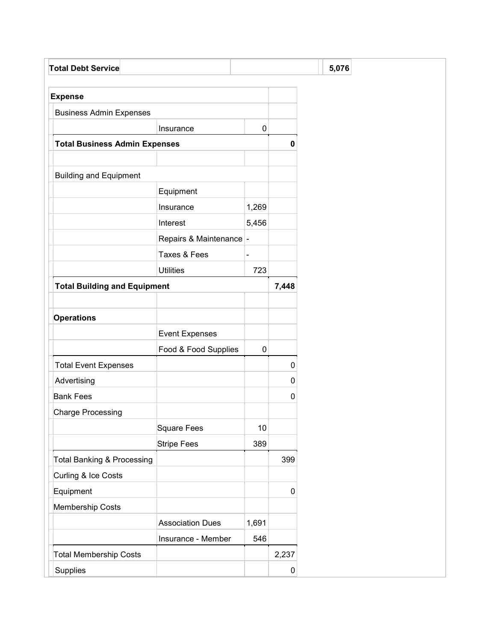| <b>Total Debt Service</b>             |                         |             |           |
|---------------------------------------|-------------------------|-------------|-----------|
|                                       |                         |             |           |
| <b>Expense</b>                        |                         |             |           |
| <b>Business Admin Expenses</b>        |                         |             |           |
|                                       | Insurance               | $\pmb{0}$   |           |
| <b>Total Business Admin Expenses</b>  |                         |             | 0         |
|                                       |                         |             |           |
| <b>Building and Equipment</b>         |                         |             |           |
|                                       | Equipment               |             |           |
|                                       | Insurance               | 1,269       |           |
|                                       | Interest                | 5,456       |           |
|                                       | Repairs & Maintenance - |             |           |
|                                       | Taxes & Fees            |             |           |
|                                       | <b>Utilities</b>        | 723         |           |
| <b>Total Building and Equipment</b>   |                         |             | 7,448     |
|                                       |                         |             |           |
| <b>Operations</b>                     |                         |             |           |
|                                       | <b>Event Expenses</b>   |             |           |
|                                       | Food & Food Supplies    | $\mathbf 0$ |           |
| <b>Total Event Expenses</b>           |                         |             | 0         |
| Advertising                           |                         |             | 0         |
| <b>Bank Fees</b>                      |                         |             | 0         |
| <b>Charge Processing</b>              |                         |             |           |
|                                       | Square Fees             | 10          |           |
|                                       | <b>Stripe Fees</b>      | 389         |           |
| <b>Total Banking &amp; Processing</b> |                         |             | 399       |
| Curling & Ice Costs                   |                         |             |           |
|                                       |                         |             |           |
| Equipment                             |                         |             | $\pmb{0}$ |
| Membership Costs                      |                         |             |           |
|                                       | <b>Association Dues</b> | 1,691       |           |
|                                       | Insurance - Member      | 546         |           |
| <b>Total Membership Costs</b>         |                         |             | 2,237     |
| Supplies                              |                         |             | $\pmb{0}$ |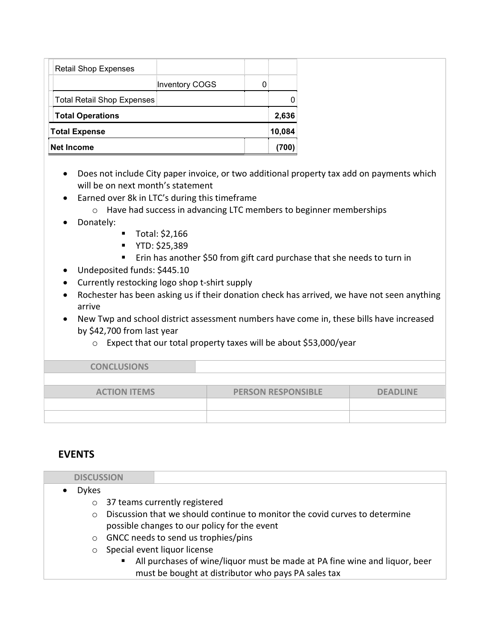| <b>Retail Shop Expenses</b>       |                       |  |  |  |
|-----------------------------------|-----------------------|--|--|--|
|                                   | <b>Inventory COGS</b> |  |  |  |
| <b>Total Retail Shop Expenses</b> |                       |  |  |  |
| <b>Total Operations</b>           |                       |  |  |  |
| <b>Total Expense</b>              |                       |  |  |  |
| <b>Net Income</b>                 |                       |  |  |  |

- Does not include City paper invoice, or two additional property tax add on payments which will be on next month's statement
- Earned over 8k in LTC's during this timeframe
	- o Have had success in advancing LTC members to beginner memberships
- Donately:
	- Total: \$2,166
	- $YTD: $25,389$
	- Erin has another \$50 from gift card purchase that she needs to turn in
- Undeposited funds: \$445.10
- Currently restocking logo shop t-shirt supply
- Rochester has been asking us if their donation check has arrived, we have not seen anything arrive
- New Twp and school district assessment numbers have come in, these bills have increased by \$42,700 from last year
	- o Expect that our total property taxes will be about \$53,000/year

| <b>CONCLUSIONS</b>  |                           |                 |
|---------------------|---------------------------|-----------------|
|                     |                           |                 |
| <b>ACTION ITEMS</b> | <b>PERSON RESPONSIBLE</b> | <b>DEADLINE</b> |
|                     |                           |                 |
|                     |                           |                 |

# **EVENTS**

| <b>DISCUSSION</b>         |                |                                                                                                                                   |
|---------------------------|----------------|-----------------------------------------------------------------------------------------------------------------------------------|
| <b>Dykes</b><br>$\bullet$ |                |                                                                                                                                   |
| $\circ$                   |                | 37 teams currently registered                                                                                                     |
| $\bigcirc$                |                | Discussion that we should continue to monitor the covid curves to determine<br>possible changes to our policy for the event       |
| $\circ$                   |                | GNCC needs to send us trophies/pins                                                                                               |
| $\circ$                   |                | Special event liquor license                                                                                                      |
|                           | $\blacksquare$ | All purchases of wine/liquor must be made at PA fine wine and liquor, beer<br>must be bought at distributor who pays PA sales tax |